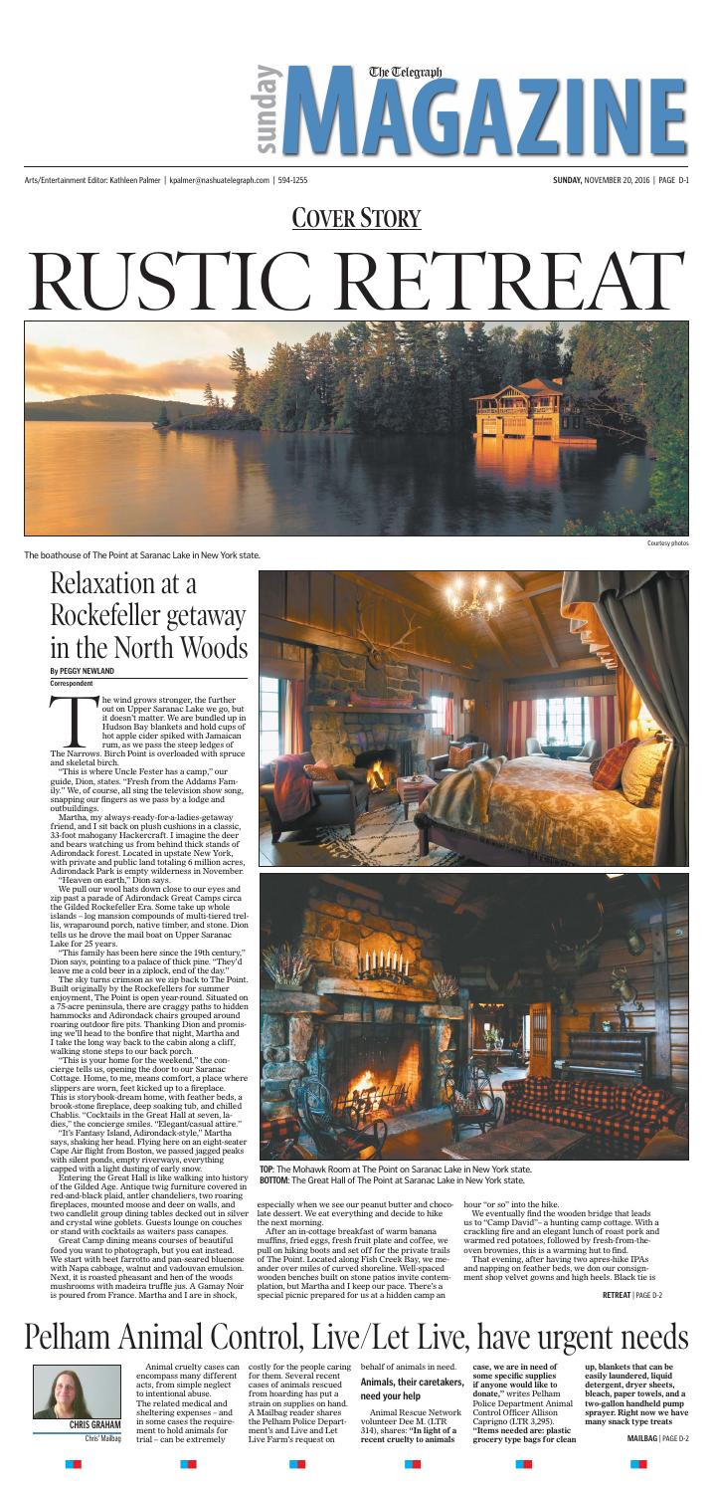Arts/Entertainment Editor: Kathleen Palmer | kpalmer@nashuatelegraph.com | 594-1255 **SUNDAY,** NOVEMBER 20, 2016 | PAGE D-1



### Pelham Animal Control, Live/Let Live, have urgent needs



Animal cruelty cases can encompass many different acts, from simple neglect to intentional abuse. The related medical and sheltering expenses – and ment to hold animals for trial – can be extremely

**CHRIS GRAHAM** in some cases the require-<br> **CHRIS GRAHAM** in some cases the require-<br> **the Person Set of the CALL CONG CONGLES** (*LTR* Captigno (LTR 3,295). **many snack type treats** costly for the people caring behalf of animals in need. for them. Several recent cases of animals rescued from hoarding has put a strain on supplies on hand. A Mailbag reader shares the Pelham Police Department's and Live and Let Live Farm's request on

#### **Animals, their caretakers, need your help**

The wind grows stronger, the further<br>out on Upper Saranac Lake we go, but<br>it doesn't matter. We are bundled up<br>Hudson Bay blankets and hold cups<br>hot apple cider spiked with Jamaica<br>rum, as we pass the steep ledges of<br>The N out on Upper Saranac Lake we go, but it doesn't matter. We are bundled up in Hudson Bay blankets and hold cups of hot apple cider spiked with Jamaican rum, as we pass the steep ledges of The Narrows. Birch Point is overloaded with spruce

> **case, we are in need of some specific supplies if anyone would like to donate,"** writes Pelham Police Department Animal Control Officer Allison Caprigno (LTR 3,295). **"Items needed are: plastic**

Animal Rescue Network volunteer Dee M. (LTR 314), shares: **"In light of a recent cruelty to animals grocery type bags for clean**  Chris' Mailbag **MAILBAG** | PAGE D-2

**up, blankets that can be easily laundered, liquid detergent, dryer sheets, bleach, paper towels, and a two-gallon handheld pump sprayer. Right now we have** 

Courtesy photos

The boathouse of The Point at Saranac Lake in New York state.

and skeletal birch. "This is where Uncle Fester has a camp," our

guide, Dion, states. "Fresh from the Addams Family." We, of course, all sing the television show song, snapping our fingers as we pass by a lodge and outbuildings.



Martha, my always-ready-for-a-ladies-getaway friend, and I sit back on plush cushions in a classic, 33-foot mahogany Hackercraft. I imagine the deer and bears watching us from behind thick stands of Adirondack forest. Located in upstate New York, with private and public land totaling 6 million acres, Adirondack Park is empty wilderness in November.

"Heaven on earth," Dion says.

We pull our wool hats down close to our eyes and zip past a parade of Adirondack Great Camps circa the Gilded Rockefeller Era. Some take up whole islands – log mansion compounds of multi-tiered trellis, wraparound porch, native timber, and stone. Dion tells us he drove the mail boat on Upper Saranac Lake for 25 years.

"This family has been here since the 19th century," Dion says, pointing to a palace of thick pine. "They'd leave me a cold beer in a ziplock, end of the day."

# **COVER STORY** RUSTIC RETREAT



The sky turns crimson as we zip back to The Point. Built originally by the Rockefellers for summer enjoyment, The Point is open year-round. Situated on a 75-acre peninsula, there are craggy paths to hidden hammocks and Adirondack chairs grouped around roaring outdoor fire pits. Thanking Dion and promising we'll head to the bonfire that night, Martha and I take the long way back to the cabin along a cliff, walking stone steps to our back porch.

"This is your home for the weekend," the concierge tells us, opening the door to our Saranac Cottage. Home, to me, means comfort, a place where slippers are worn, feet kicked up to a fireplace. This is storybook-dream home, with feather beds, a brook-stone fireplace, deep soaking tub, and chilled Chablis. "Cocktails in the Great Hall at seven, ladies," the concierge smiles. "Elegant/casual attire."

"It's Fantasy Island, Adirondack-style," Martha says, shaking her head. Flying here on an eight-seater Cape Air flight from Boston, we passed jagged peaks with silent ponds, empty riverways, everything capped with a light dusting of early snow.

Entering the Great Hall is like walking into history of the Gilded Age. Antique twig furniture covered in red-and-black plaid, antler chandeliers, two roaring fireplaces, mounted moose and deer on walls, and two candlelit group dining tables decked out in silver and crystal wine goblets. Guests lounge on couches or stand with cocktails as waiters pass canapes.

Great Camp dining means courses of beautiful food you want to photograph, but you eat instead. We start with beet farrotto and pan-seared bluenose with Napa cabbage, walnut and vadouvan emulsion. Next, it is roasted pheasant and hen of the woods mushrooms with madeira truffle jus. A Gamay Noir is poured from France. Martha and I are in shock,

especially when we see our peanut butter and chocolate dessert. We eat everything and decide to hike the next morning.

After an in-cottage breakfast of warm banana muffins, fried eggs, fresh fruit plate and coffee, we pull on hiking boots and set off for the private trails of The Point. Located along Fish Creek Bay, we meander over miles of curved shoreline. Well-spaced wooden benches built on stone patios invite contemplation, but Martha and I keep our pace. There's a special picnic prepared for us at a hidden camp an

hour "or so" into the hike.

We eventually find the wooden bridge that leads us to "Camp David"– a hunting camp cottage. With a crackling fire and an elegant lunch of roast pork and warmed red potatoes, followed by fresh-from-theoven brownies, this is a warming hut to find.

That evening, after having two apres-hike IPAs and napping on feather beds, we don our consignment shop velvet gowns and high heels. Black tie is

**By PEGGY NEWLAND**

**Correspondent**

Relaxation at a Rockefeller getaway in the North Woods

**TOP**: The Mohawk Room at The Point on Saranac Lake in New York state. **BOTTOM**: The Great Hall of The Point at Saranac Lake in New York state.

**RETREAT** | PAGE D-2